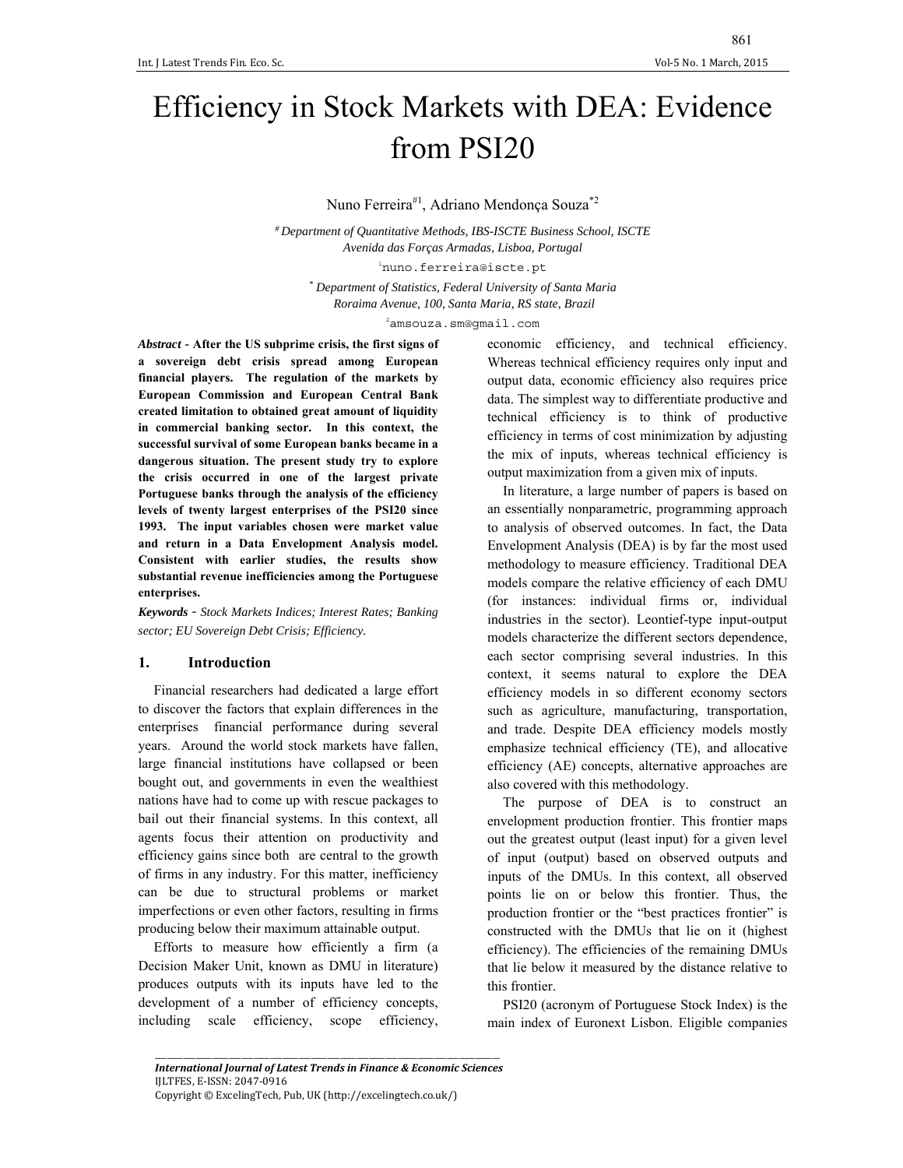# Efficiency in Stock Markets with DEA: Evidence from PSI20

Nuno Ferreira#1, Adriano Mendonça Souza\*2

*# Department of Quantitative Methods, IBS-ISCTE Business School, ISCTE Avenida das Forças Armadas, Lisboa, Portugal*  1 nuno.ferreira@iscte.pt *\* Department of Statistics, Federal University of Santa Maria* 

 *Roraima Avenue, 100, Santa Maria, RS state, Brazil* 

2 amsouza.sm@gmail.com

*Abstract* - **After the US subprime crisis, the first signs of a sovereign debt crisis spread among European financial players. The regulation of the markets by European Commission and European Central Bank created limitation to obtained great amount of liquidity in commercial banking sector. In this context, the successful survival of some European banks became in a dangerous situation. The present study try to explore the crisis occurred in one of the largest private Portuguese banks through the analysis of the efficiency levels of twenty largest enterprises of the PSI20 since 1993. The input variables chosen were market value and return in a Data Envelopment Analysis model. Consistent with earlier studies, the results show substantial revenue inefficiencies among the Portuguese enterprises.** 

*Keywords* ‐ *Stock Markets Indices; Interest Rates; Banking sector; EU Sovereign Debt Crisis; Efficiency.* 

## **1. Introduction**

Financial researchers had dedicated a large effort to discover the factors that explain differences in the enterprises financial performance during several years. Around the world stock markets have fallen, large financial institutions have collapsed or been bought out, and governments in even the wealthiest nations have had to come up with rescue packages to bail out their financial systems. In this context, all agents focus their attention on productivity and efficiency gains since both are central to the growth of firms in any industry. For this matter, inefficiency can be due to structural problems or market imperfections or even other factors, resulting in firms producing below their maximum attainable output.

Efforts to measure how efficiently a firm (a Decision Maker Unit, known as DMU in literature) produces outputs with its inputs have led to the development of a number of efficiency concepts, including scale efficiency, scope efficiency,

economic efficiency, and technical efficiency. Whereas technical efficiency requires only input and output data, economic efficiency also requires price data. The simplest way to differentiate productive and technical efficiency is to think of productive efficiency in terms of cost minimization by adjusting the mix of inputs, whereas technical efficiency is output maximization from a given mix of inputs.

In literature, a large number of papers is based on an essentially nonparametric, programming approach to analysis of observed outcomes. In fact, the Data Envelopment Analysis (DEA) is by far the most used methodology to measure efficiency. Traditional DEA models compare the relative efficiency of each DMU (for instances: individual firms or, individual industries in the sector). Leontief-type input-output models characterize the different sectors dependence, each sector comprising several industries. In this context, it seems natural to explore the DEA efficiency models in so different economy sectors such as agriculture, manufacturing, transportation, and trade. Despite DEA efficiency models mostly emphasize technical efficiency (TE), and allocative efficiency (AE) concepts, alternative approaches are also covered with this methodology.

The purpose of DEA is to construct an envelopment production frontier. This frontier maps out the greatest output (least input) for a given level of input (output) based on observed outputs and inputs of the DMUs. In this context, all observed points lie on or below this frontier. Thus, the production frontier or the "best practices frontier" is constructed with the DMUs that lie on it (highest efficiency). The efficiencies of the remaining DMUs that lie below it measured by the distance relative to this frontier.

PSI20 (acronym of Portuguese Stock Index) is the main index of Euronext Lisbon. Eligible companies

\_\_\_\_\_\_\_\_\_\_\_\_\_\_\_\_\_\_\_\_\_\_\_\_\_\_\_\_\_\_\_\_\_\_\_\_\_\_\_\_\_\_\_\_\_\_\_\_\_\_\_\_\_\_\_\_\_\_\_\_\_\_\_\_\_\_\_\_\_\_\_\_\_\_\_\_\_\_\_\_\_\_\_\_ *International Journal of Latest Trends in Finance & Economic Sciences* IJLTFES, E‐ISSN: 2047‐0916 Copyright © ExcelingTech, Pub, UK (http://excelingtech.co.uk/)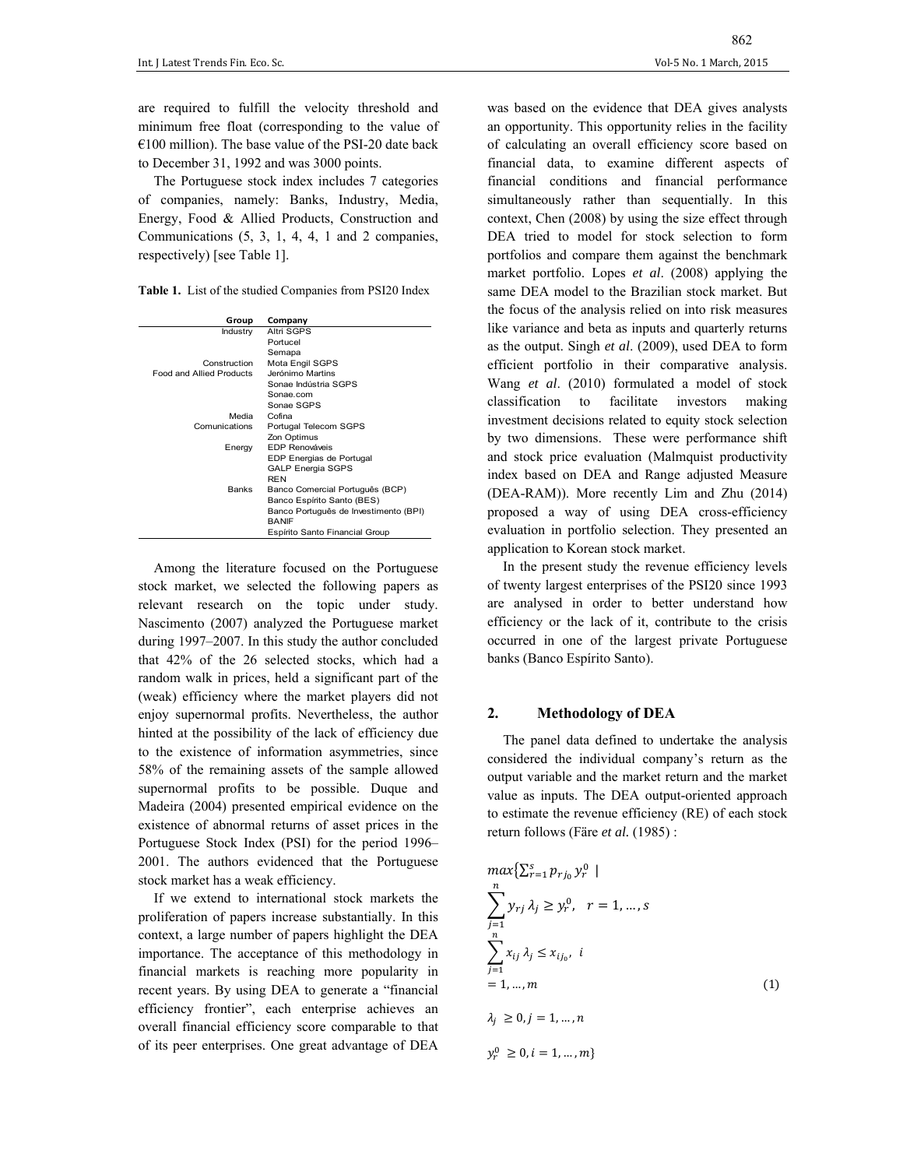are required to fulfill the velocity threshold and minimum free float (corresponding to the value of  $€100$  million). The base value of the PSI-20 date back to December 31, 1992 and was 3000 points.

The Portuguese stock index includes 7 categories of companies, namely: Banks, Industry, Media, Energy, Food & Allied Products, Construction and Communications (5, 3, 1, 4, 4, 1 and 2 companies, respectively) [see Table 1].

**Table 1.** List of the studied Companies from PSI20 Index

| Group                           | Company                               |
|---------------------------------|---------------------------------------|
| Industry                        | Altri SGPS                            |
|                                 | Portucel                              |
|                                 | Semapa                                |
| Construction                    | Mota Engil SGPS                       |
| <b>Food and Allied Products</b> | Jerónimo Martins                      |
|                                 | Sonae Indústria SGPS                  |
|                                 | Sonae com                             |
|                                 | Sonae SGPS                            |
| Media                           | Cofina                                |
| Comunications                   | Portugal Telecom SGPS                 |
|                                 | Zon Optimus                           |
| Energy                          | <b>EDP Renováveis</b>                 |
|                                 | EDP Energias de Portugal              |
|                                 | <b>GALP Energia SGPS</b>              |
|                                 | <b>RFN</b>                            |
| <b>Banks</b>                    | Banco Comercial Português (BCP)       |
|                                 | Banco Espírito Santo (BES)            |
|                                 | Banco Português de Investimento (BPI) |
|                                 | <b>RANIF</b>                          |
|                                 | Espírito Santo Financial Group        |

Among the literature focused on the Portuguese stock market, we selected the following papers as relevant research on the topic under study. Nascimento (2007) analyzed the Portuguese market during 1997–2007. In this study the author concluded that 42% of the 26 selected stocks, which had a random walk in prices, held a significant part of the (weak) efficiency where the market players did not enjoy supernormal profits. Nevertheless, the author hinted at the possibility of the lack of efficiency due to the existence of information asymmetries, since 58% of the remaining assets of the sample allowed supernormal profits to be possible. Duque and Madeira (2004) presented empirical evidence on the existence of abnormal returns of asset prices in the Portuguese Stock Index (PSI) for the period 1996– 2001. The authors evidenced that the Portuguese stock market has a weak efficiency.

If we extend to international stock markets the proliferation of papers increase substantially. In this context, a large number of papers highlight the DEA importance. The acceptance of this methodology in financial markets is reaching more popularity in recent years. By using DEA to generate a "financial efficiency frontier", each enterprise achieves an overall financial efficiency score comparable to that of its peer enterprises. One great advantage of DEA was based on the evidence that DEA gives analysts an opportunity. This opportunity relies in the facility of calculating an overall efficiency score based on financial data, to examine different aspects of financial conditions and financial performance simultaneously rather than sequentially. In this context, Chen (2008) by using the size effect through DEA tried to model for stock selection to form portfolios and compare them against the benchmark market portfolio. Lopes *et al*. (2008) applying the same DEA model to the Brazilian stock market. But the focus of the analysis relied on into risk measures like variance and beta as inputs and quarterly returns as the output. Singh *et al*. (2009), used DEA to form efficient portfolio in their comparative analysis. Wang *et al*. (2010) formulated a model of stock classification to facilitate investors making investment decisions related to equity stock selection by two dimensions. These were performance shift and stock price evaluation (Malmquist productivity index based on DEA and Range adjusted Measure (DEA-RAM)). More recently Lim and Zhu (2014) proposed a way of using DEA cross-efficiency evaluation in portfolio selection. They presented an application to Korean stock market.

In the present study the revenue efficiency levels of twenty largest enterprises of the PSI20 since 1993 are analysed in order to better understand how efficiency or the lack of it, contribute to the crisis occurred in one of the largest private Portuguese banks (Banco Espírito Santo).

## **2. Methodology of DEA**

 $y_r^0 \geq 0, i = 1, ..., m\}$ 

The panel data defined to undertake the analysis considered the individual company's return as the output variable and the market return and the market value as inputs. The DEA output-oriented approach to estimate the revenue efficiency (RE) of each stock return follows (Färe *et al.* (1985) :

$$
\max\{\sum_{r=1}^{s} p_{r j_0} y_r^0 \mid
$$
  

$$
\sum_{j=1}^{n} y_{r j} \lambda_j \ge y_r^0, \quad r = 1, ..., s
$$
  

$$
\sum_{j=1}^{n} x_{i j} \lambda_j \le x_{i j_0}, \quad i
$$
  

$$
= 1, ..., m
$$
  

$$
\lambda_j \ge 0, j = 1, ..., n
$$
 (1)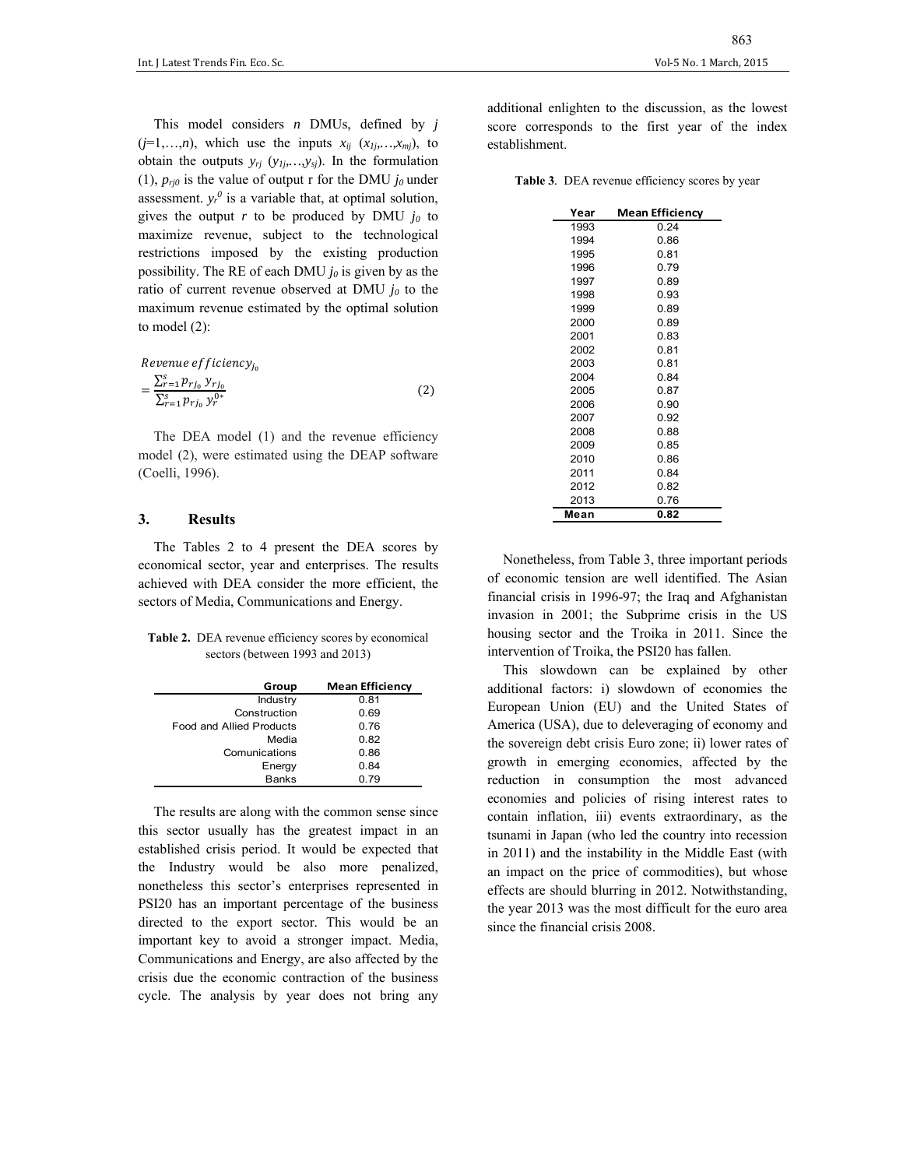This model considers *n* DMUs, defined by *j*  $(j=1,\ldots,n)$ , which use the inputs  $x_{ij}$   $(x_{1j},...,x_{mi})$ , to obtain the outputs *yrj* (*y1j,…,ysj*). In the formulation (1),  $p_{ri0}$  is the value of output r for the DMU  $j_0$  under assessment.  $y_r^0$  is a variable that, at optimal solution, gives the output  $r$  to be produced by DMU  $j_0$  to maximize revenue, subject to the technological restrictions imposed by the existing production possibility. The RE of each DMU  $j_0$  is given by as the ratio of current revenue observed at DMU  $j_0$  to the maximum revenue estimated by the optimal solution to model (2):

$$
Revenue \, efficiency_{j_0}
$$
\n
$$
= \frac{\sum_{r=1}^{S} p_{r j_0} \, y_{r j_0}}{\sum_{r=1}^{S} p_{r j_0} \, y_r^{0^*}}
$$
\n
$$
\tag{2}
$$

The DEA model (1) and the revenue efficiency model (2), were estimated using the DEAP software (Coelli, 1996).

## **3. Results**

The Tables 2 to 4 present the DEA scores by economical sector, year and enterprises. The results achieved with DEA consider the more efficient, the sectors of Media, Communications and Energy.

**Table 2.**DEA revenue efficiency scores by economical sectors (between 1993 and 2013)

| Group                           | <b>Mean Efficiency</b> |
|---------------------------------|------------------------|
| Industry                        | 0.81                   |
| Construction                    | 0.69                   |
| <b>Food and Allied Products</b> | 0.76                   |
| Media                           | 0.82                   |
| Comunications                   | 0.86                   |
| Energy                          | 0.84                   |
| <b>Banks</b>                    | 0.79                   |

The results are along with the common sense since this sector usually has the greatest impact in an established crisis period. It would be expected that the Industry would be also more penalized, nonetheless this sector's enterprises represented in PSI20 has an important percentage of the business directed to the export sector. This would be an important key to avoid a stronger impact. Media, Communications and Energy, are also affected by the crisis due the economic contraction of the business cycle. The analysis by year does not bring any

additional enlighten to the discussion, as the lowest score corresponds to the first year of the index establishment.

**Table 3***.* DEA revenue efficiency scores by year

| Year | <b>Mean Efficiency</b> |  |  |  |  |
|------|------------------------|--|--|--|--|
| 1993 | 0.24                   |  |  |  |  |
| 1994 | 0.86                   |  |  |  |  |
| 1995 | 0.81                   |  |  |  |  |
| 1996 | 0.79                   |  |  |  |  |
| 1997 | 0.89                   |  |  |  |  |
| 1998 | 0.93                   |  |  |  |  |
| 1999 | 0.89                   |  |  |  |  |
| 2000 | 0.89                   |  |  |  |  |
| 2001 | 0.83                   |  |  |  |  |
| 2002 | 0.81                   |  |  |  |  |
| 2003 | 0.81                   |  |  |  |  |
| 2004 | 0.84                   |  |  |  |  |
| 2005 | 0.87                   |  |  |  |  |
| 2006 | 0.90                   |  |  |  |  |
| 2007 | 0.92                   |  |  |  |  |
| 2008 | 0.88                   |  |  |  |  |
| 2009 | 0.85                   |  |  |  |  |
| 2010 | 0.86                   |  |  |  |  |
| 2011 | 0.84                   |  |  |  |  |
| 2012 | 0.82                   |  |  |  |  |
| 2013 | 0.76                   |  |  |  |  |
| Mean | 0.82                   |  |  |  |  |

Nonetheless, from Table 3, three important periods of economic tension are well identified. The Asian financial crisis in 1996-97; the Iraq and Afghanistan invasion in 2001; the Subprime crisis in the US housing sector and the Troika in 2011. Since the intervention of Troika, the PSI20 has fallen.

This slowdown can be explained by other additional factors: i) slowdown of economies the European Union (EU) and the United States of America (USA), due to deleveraging of economy and the sovereign debt crisis Euro zone; ii) lower rates of growth in emerging economies, affected by the reduction in consumption the most advanced economies and policies of rising interest rates to contain inflation, iii) events extraordinary, as the tsunami in Japan (who led the country into recession in 2011) and the instability in the Middle East (with an impact on the price of commodities), but whose effects are should blurring in 2012. Notwithstanding, the year 2013 was the most difficult for the euro area since the financial crisis 2008.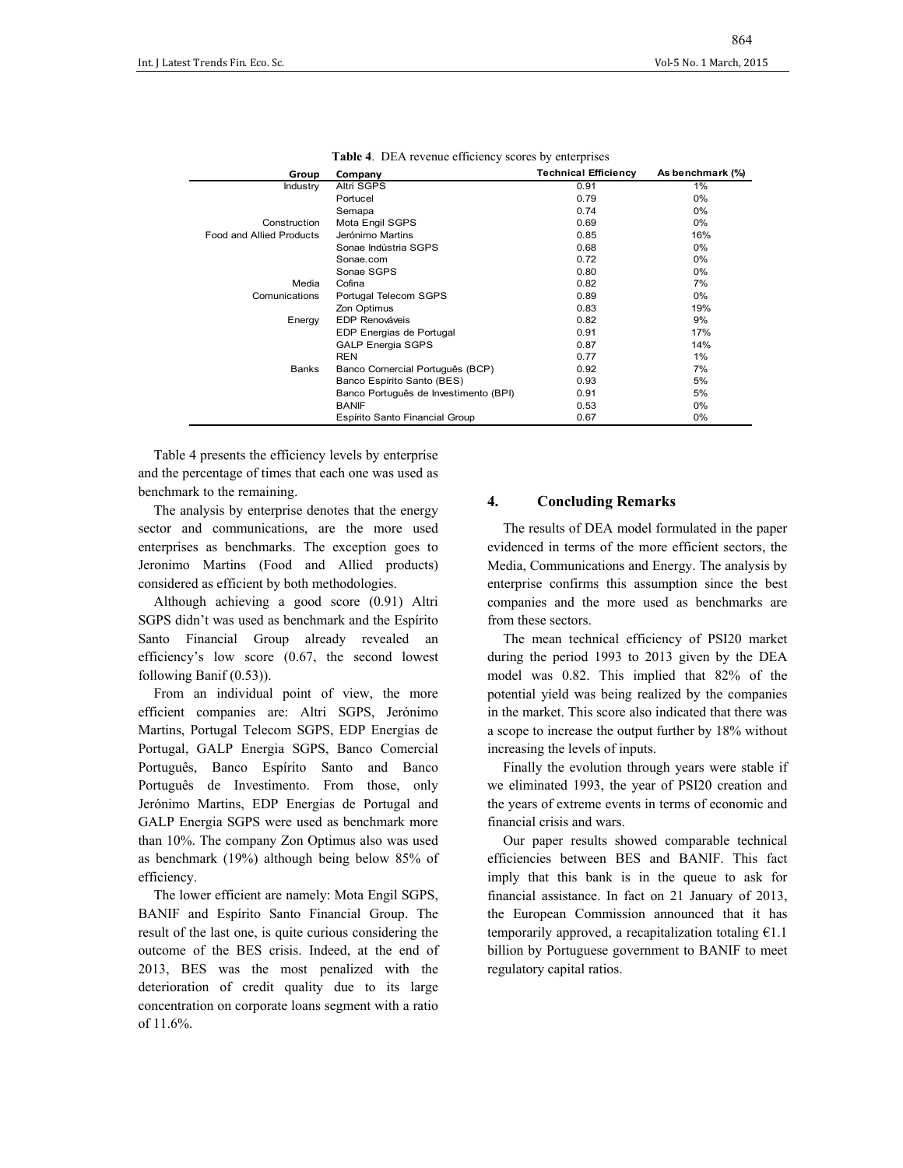| Group                           | Company                               | <b>Technical Efficiency</b> | As benchmark (%) |
|---------------------------------|---------------------------------------|-----------------------------|------------------|
| Industry                        | Altri SGPS                            | 0.91                        | 1%               |
|                                 | Portucel                              | 0.79                        | $0\%$            |
|                                 | Semapa                                | 0.74                        | $0\%$            |
| Construction                    | Mota Engil SGPS                       | 0.69                        | $0\%$            |
| <b>Food and Allied Products</b> | Jerónimo Martins                      | 0.85                        | 16%              |
|                                 | Sonae Indústria SGPS                  | 0.68                        | $0\%$            |
|                                 | Sonae.com                             | 0.72                        | $0\%$            |
|                                 | Sonae SGPS                            | 0.80                        | $0\%$            |
| Media                           | Cofina                                | 0.82                        | 7%               |
| Comunications                   | Portugal Telecom SGPS                 | 0.89                        | 0%               |
|                                 | Zon Optimus                           | 0.83                        | 19%              |
| Energy                          | <b>EDP Renováveis</b>                 | 0.82                        | 9%               |
|                                 | EDP Energias de Portugal              | 0.91                        | 17%              |
|                                 | <b>GALP Energia SGPS</b>              | 0.87                        | 14%              |
|                                 | <b>REN</b>                            | 0.77                        | 1%               |
| <b>Banks</b>                    | Banco Comercial Português (BCP)       | 0.92                        | 7%               |
|                                 | Banco Espírito Santo (BES)            | 0.93                        | 5%               |
|                                 | Banco Português de Investimento (BPI) | 0.91                        | 5%               |
|                                 | <b>BANIF</b>                          | 0.53                        | $0\%$            |
|                                 | Espírito Santo Financial Group        | 0.67                        | 0%               |

|  |  |  | <b>Table 4.</b> DEA revenue efficiency scores by enterprises |
|--|--|--|--------------------------------------------------------------|
|  |  |  |                                                              |

Table 4 presents the efficiency levels by enterprise and the percentage of times that each one was used as benchmark to the remaining.

The analysis by enterprise denotes that the energy sector and communications, are the more used enterprises as benchmarks. The exception goes to Jeronimo Martins (Food and Allied products) considered as efficient by both methodologies.

Although achieving a good score (0.91) Altri SGPS didn't was used as benchmark and the Espírito Santo Financial Group already revealed an efficiency's low score (0.67, the second lowest following Banif (0.53)).

From an individual point of view, the more efficient companies are: Altri SGPS, Jerónimo Martins, Portugal Telecom SGPS, EDP Energias de Portugal, GALP Energia SGPS, Banco Comercial Português, Banco Espírito Santo and Banco Português de Investimento. From those, only Jerónimo Martins, EDP Energias de Portugal and GALP Energia SGPS were used as benchmark more than 10%. The company Zon Optimus also was used as benchmark (19%) although being below 85% of efficiency.

The lower efficient are namely: Mota Engil SGPS, BANIF and Espírito Santo Financial Group. The result of the last one, is quite curious considering the outcome of the BES crisis. Indeed, at the end of 2013, BES was the most penalized with the deterioration of credit quality due to its large concentration on corporate loans segment with a ratio of 11.6%.

## **4. Concluding Remarks**

The results of DEA model formulated in the paper evidenced in terms of the more efficient sectors, the Media, Communications and Energy. The analysis by enterprise confirms this assumption since the best companies and the more used as benchmarks are from these sectors.

The mean technical efficiency of PSI20 market during the period 1993 to 2013 given by the DEA model was 0.82. This implied that 82% of the potential yield was being realized by the companies in the market. This score also indicated that there was a scope to increase the output further by 18% without increasing the levels of inputs.

Finally the evolution through years were stable if we eliminated 1993, the year of PSI20 creation and the years of extreme events in terms of economic and financial crisis and wars.

Our paper results showed comparable technical efficiencies between BES and BANIF. This fact imply that this bank is in the queue to ask for financial assistance. In fact on 21 January of 2013, the European Commission announced that it has temporarily approved, a recapitalization totaling  $€1.1$ billion by Portuguese government to BANIF to meet regulatory capital ratios.